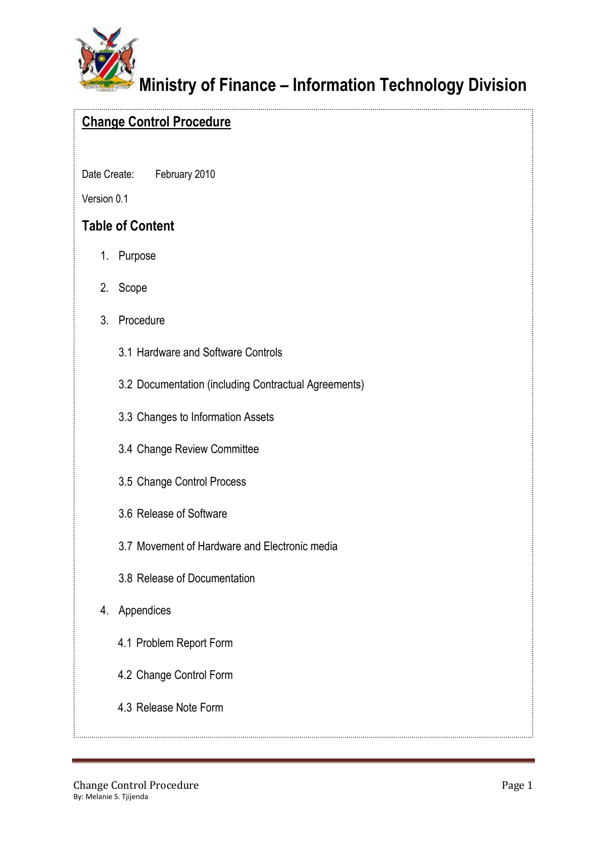

# **Ministry of Finance – Information Technology Division**

# **Change Control Procedure**

Date Create: February 2010

Version 0.1

# **Table of Content**

- 1. Purpose
- 2. Scope
- 3. Procedure
	- 3.1 Hardware and Software Controls
	- 3.2 Documentation (including Contractual Agreements)
	- 3.3 Changes to Information Assets
	- 3.4 Change Review Committee
	- 3.5 Change Control Process
	- 3.6 Release of Software
	- 3.7 Movement of Hardware and Electronic media
	- 3.8 Release of Documentation
- 4. Appendices
	- 4.1 Problem Report Form
	- 4.2 Change Control Form
	- 4.3 Release Note Form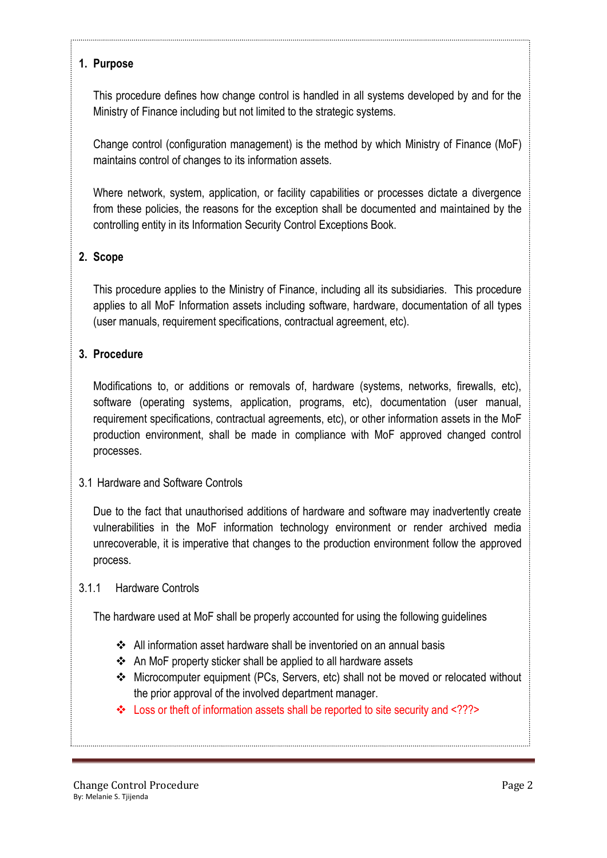#### **1. Purpose**

This procedure defines how change control is handled in all systems developed by and for the Ministry of Finance including but not limited to the strategic systems.

Change control (configuration management) is the method by which Ministry of Finance (MoF) maintains control of changes to its information assets.

Where network, system, application, or facility capabilities or processes dictate a divergence from these policies, the reasons for the exception shall be documented and maintained by the controlling entity in its Information Security Control Exceptions Book.

## **2. Scope**

This procedure applies to the Ministry of Finance, including all its subsidiaries. This procedure applies to all MoF Information assets including software, hardware, documentation of all types (user manuals, requirement specifications, contractual agreement, etc).

## **3. Procedure**

Modifications to, or additions or removals of, hardware (systems, networks, firewalls, etc), software (operating systems, application, programs, etc), documentation (user manual, requirement specifications, contractual agreements, etc), or other information assets in the MoF production environment, shall be made in compliance with MoF approved changed control processes.

#### 3.1 Hardware and Software Controls

Due to the fact that unauthorised additions of hardware and software may inadvertently create vulnerabilities in the MoF information technology environment or render archived media unrecoverable, it is imperative that changes to the production environment follow the approved process.

#### 3.1.1 Hardware Controls

The hardware used at MoF shall be properly accounted for using the following guidelines

- All information asset hardware shall be inventoried on an annual basis
- An MoF property sticker shall be applied to all hardware assets
- Microcomputer equipment (PCs, Servers, etc) shall not be moved or relocated without the prior approval of the involved department manager.
- Loss or theft of information assets shall be reported to site security and <???>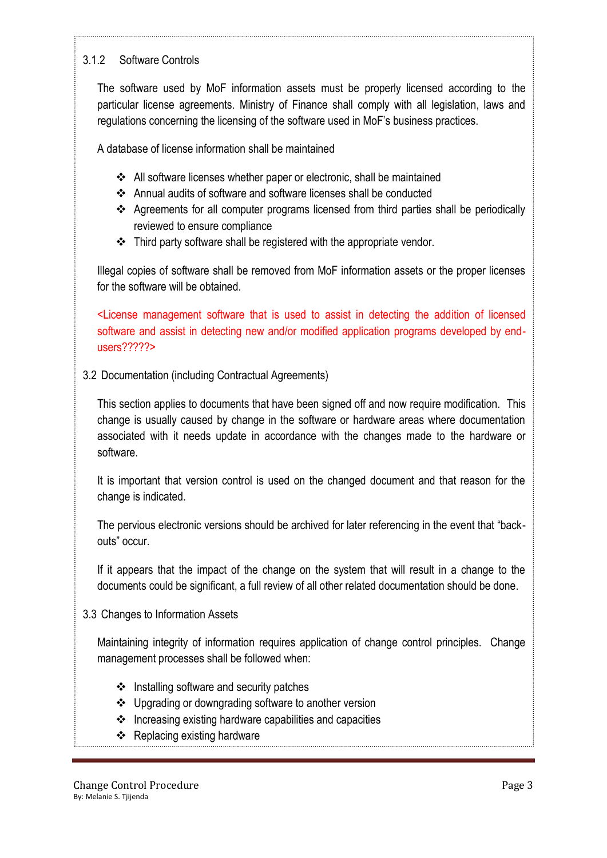## 3.1.2 Software Controls

The software used by MoF information assets must be properly licensed according to the particular license agreements. Ministry of Finance shall comply with all legislation, laws and regulations concerning the licensing of the software used in MoF's business practices.

A database of license information shall be maintained

- All software licenses whether paper or electronic, shall be maintained
- Annual audits of software and software licenses shall be conducted
- Agreements for all computer programs licensed from third parties shall be periodically reviewed to ensure compliance
- Third party software shall be registered with the appropriate vendor.

Illegal copies of software shall be removed from MoF information assets or the proper licenses for the software will be obtained.

<License management software that is used to assist in detecting the addition of licensed software and assist in detecting new and/or modified application programs developed by endusers?????>

3.2 Documentation (including Contractual Agreements)

This section applies to documents that have been signed off and now require modification. This change is usually caused by change in the software or hardware areas where documentation associated with it needs update in accordance with the changes made to the hardware or software.

It is important that version control is used on the changed document and that reason for the change is indicated.

The pervious electronic versions should be archived for later referencing in the event that "backouts" occur.

If it appears that the impact of the change on the system that will result in a change to the documents could be significant, a full review of all other related documentation should be done.

3.3 Changes to Information Assets

Maintaining integrity of information requires application of change control principles. Change management processes shall be followed when:

- $\div$  Installing software and security patches
- Upgrading or downgrading software to another version
- $\triangleq$  Increasing existing hardware capabilities and capacities
- Replacing existing hardware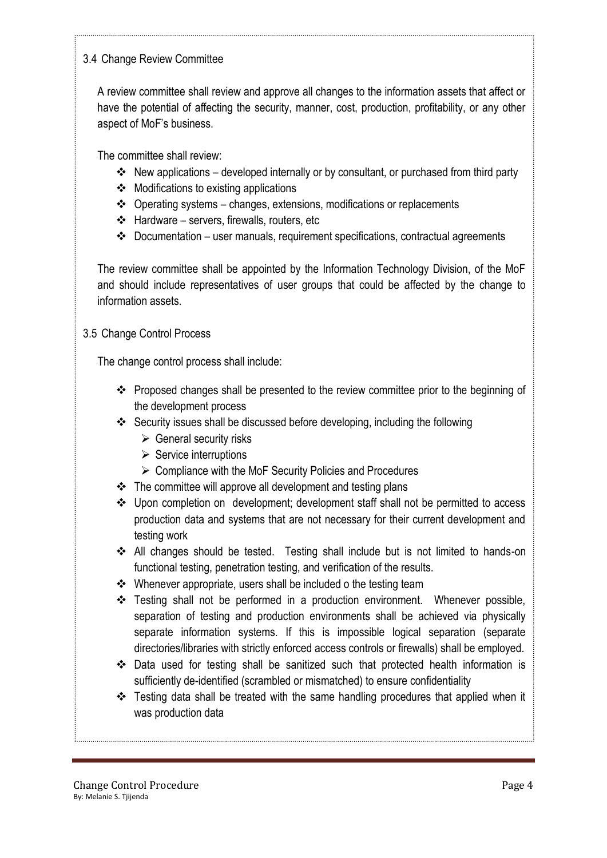## 3.4 Change Review Committee

A review committee shall review and approve all changes to the information assets that affect or have the potential of affecting the security, manner, cost, production, profitability, or any other aspect of MoF's business.

The committee shall review:

- $\cdot$  New applications developed internally or by consultant, or purchased from third party
- $\div$  Modifications to existing applications
- $\cdot$  Operating systems changes, extensions, modifications or replacements
- $\div$  Hardware servers, firewalls, routers, etc
- $\div$  Documentation user manuals, requirement specifications, contractual agreements

The review committee shall be appointed by the Information Technology Division, of the MoF and should include representatives of user groups that could be affected by the change to information assets.

#### 3.5 Change Control Process

The change control process shall include:

- \* Proposed changes shall be presented to the review committee prior to the beginning of the development process
- Security issues shall be discussed before developing, including the following
	- $\triangleright$  General security risks
	- $\triangleright$  Service interruptions
	- $\triangleright$  Compliance with the MoF Security Policies and Procedures
- $\div$  The committee will approve all development and testing plans
- Upon completion on development; development staff shall not be permitted to access production data and systems that are not necessary for their current development and testing work
- All changes should be tested. Testing shall include but is not limited to hands-on functional testing, penetration testing, and verification of the results.
- Whenever appropriate, users shall be included o the testing team
- $\div$  Testing shall not be performed in a production environment. Whenever possible, separation of testing and production environments shall be achieved via physically separate information systems. If this is impossible logical separation (separate directories/libraries with strictly enforced access controls or firewalls) shall be employed.
- Data used for testing shall be sanitized such that protected health information is sufficiently de-identified (scrambled or mismatched) to ensure confidentiality
- $\div$  Testing data shall be treated with the same handling procedures that applied when it was production data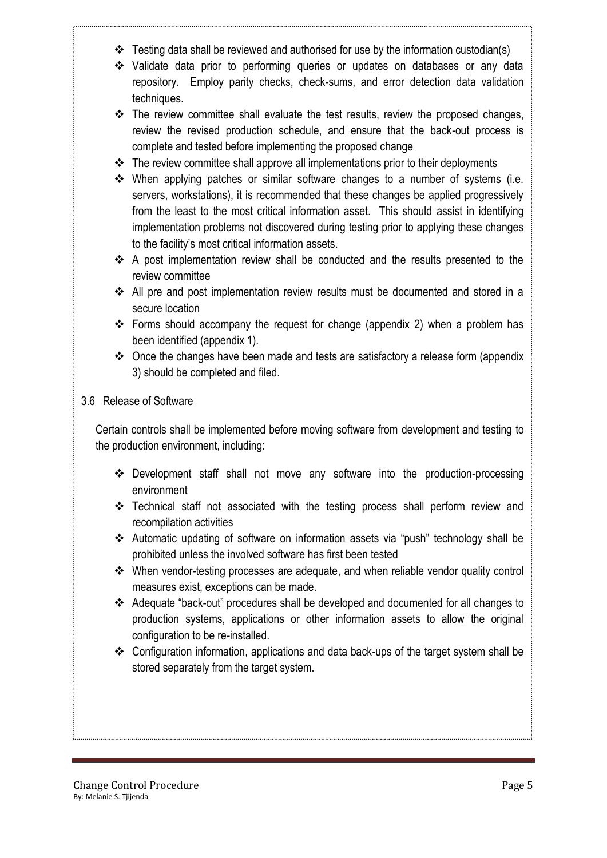- $\cdot$  Testing data shall be reviewed and authorised for use by the information custodian(s)
- Validate data prior to performing queries or updates on databases or any data repository. Employ parity checks, check-sums, and error detection data validation techniques.
- \* The review committee shall evaluate the test results, review the proposed changes, review the revised production schedule, and ensure that the back-out process is complete and tested before implementing the proposed change
- $\triangleleft$  The review committee shall approve all implementations prior to their deployments
- $\clubsuit$  When applying patches or similar software changes to a number of systems (i.e. servers, workstations), it is recommended that these changes be applied progressively from the least to the most critical information asset. This should assist in identifying implementation problems not discovered during testing prior to applying these changes to the facility's most critical information assets.
- A post implementation review shall be conducted and the results presented to the review committee
- $\div$  All pre and post implementation review results must be documented and stored in a secure location
- Forms should accompany the request for change (appendix 2) when a problem has been identified (appendix 1).
- Once the changes have been made and tests are satisfactory a release form (appendix 3) should be completed and filed.

#### 3.6 Release of Software

Certain controls shall be implemented before moving software from development and testing to the production environment, including:

- Development staff shall not move any software into the production-processing environment
- Technical staff not associated with the testing process shall perform review and recompilation activities
- Automatic updating of software on information assets via "push" technology shall be prohibited unless the involved software has first been tested
- When vendor-testing processes are adequate, and when reliable vendor quality control measures exist, exceptions can be made.
- Adequate "back-out" procedures shall be developed and documented for all changes to production systems, applications or other information assets to allow the original configuration to be re-installed.
- Configuration information, applications and data back-ups of the target system shall be stored separately from the target system.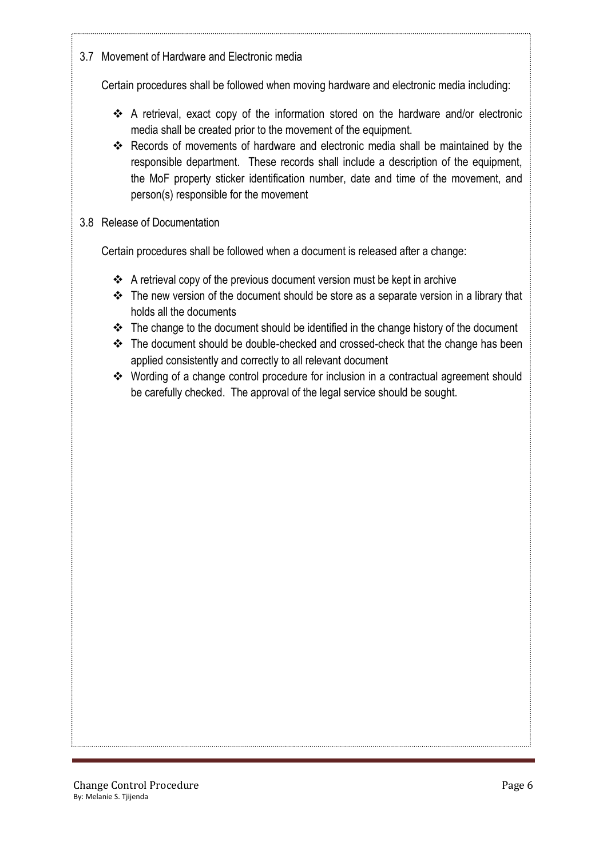3.7 Movement of Hardware and Electronic media

Certain procedures shall be followed when moving hardware and electronic media including:

- A retrieval, exact copy of the information stored on the hardware and/or electronic media shall be created prior to the movement of the equipment.
- Records of movements of hardware and electronic media shall be maintained by the responsible department. These records shall include a description of the equipment, the MoF property sticker identification number, date and time of the movement, and person(s) responsible for the movement

## 3.8 Release of Documentation

Certain procedures shall be followed when a document is released after a change:

- $\triangle$  A retrieval copy of the previous document version must be kept in archive
- $\cdot \cdot$  The new version of the document should be store as a separate version in a library that holds all the documents
- \* The change to the document should be identified in the change history of the document
- $\cdot \cdot$  The document should be double-checked and crossed-check that the change has been applied consistently and correctly to all relevant document
- Wording of a change control procedure for inclusion in a contractual agreement should be carefully checked. The approval of the legal service should be sought.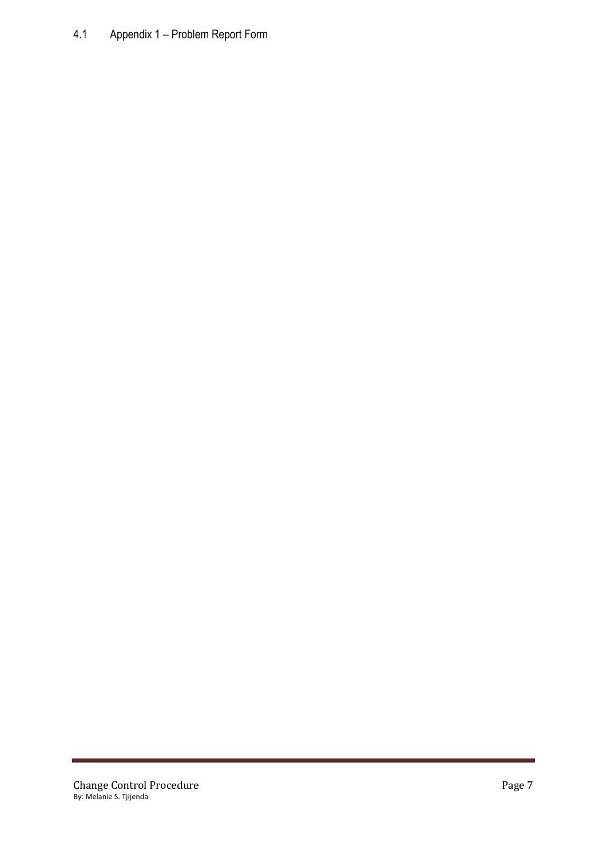# 4.1 Appendix 1 – Problem Report Form

ī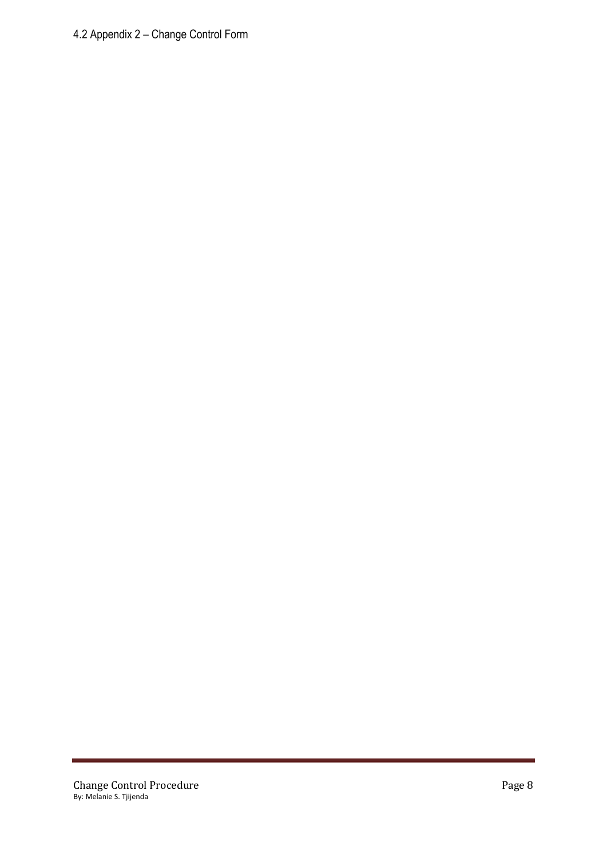# 4.2 Appendix 2 – Change Control Form